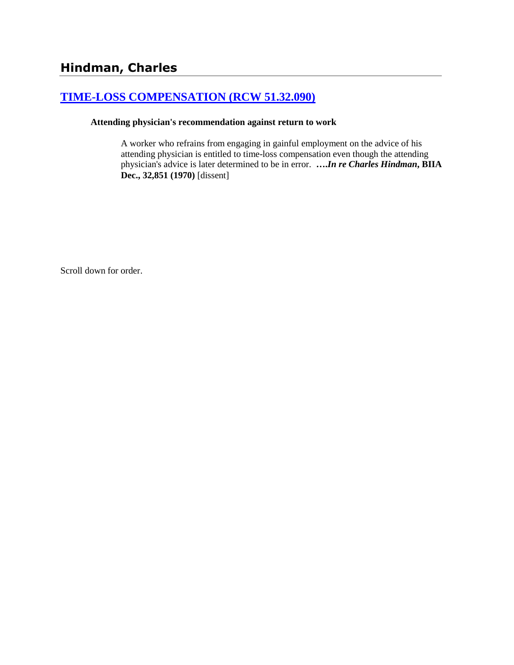# **[TIME-LOSS COMPENSATION \(RCW 51.32.090\)](http://www.biia.wa.gov/SDSubjectIndex.html#TIME_LOSS_COMPENSATION)**

#### **Attending physician's recommendation against return to work**

A worker who refrains from engaging in gainful employment on the advice of his attending physician is entitled to time-loss compensation even though the attending physician's advice is later determined to be in error. **….***In re Charles Hindman***, BIIA Dec., 32,851 (1970)** [dissent]

Scroll down for order.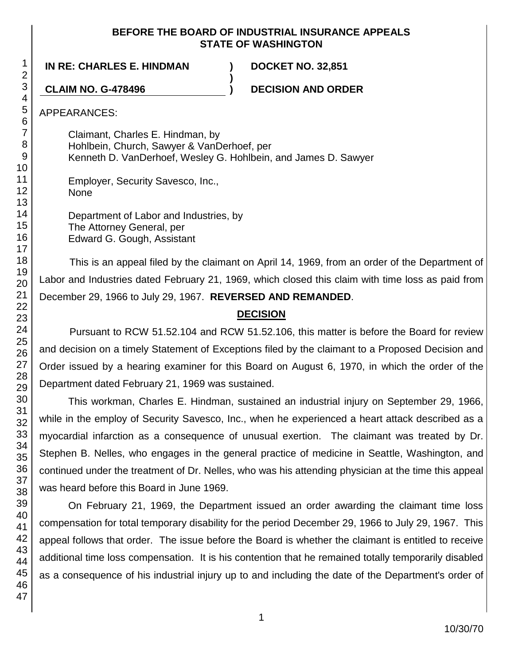## **BEFORE THE BOARD OF INDUSTRIAL INSURANCE APPEALS STATE OF WASHINGTON**

**IN RE: CHARLES E. HINDMAN ) DOCKET NO. 32,851**

**CLAIM NO. G-478496 ) DECISION AND ORDER**

APPEARANCES:

Claimant, Charles E. Hindman, by Hohlbein, Church, Sawyer & VanDerhoef, per Kenneth D. VanDerhoef, Wesley G. Hohlbein, and James D. Sawyer

**)**

Employer, Security Savesco, Inc., None

Department of Labor and Industries, by The Attorney General, per Edward G. Gough, Assistant

This is an appeal filed by the claimant on April 14, 1969, from an order of the Department of Labor and Industries dated February 21, 1969, which closed this claim with time loss as paid from December 29, 1966 to July 29, 1967. **REVERSED AND REMANDED**.

## **DECISION**

Pursuant to RCW 51.52.104 and RCW 51.52.106, this matter is before the Board for review and decision on a timely Statement of Exceptions filed by the claimant to a Proposed Decision and Order issued by a hearing examiner for this Board on August 6, 1970, in which the order of the Department dated February 21, 1969 was sustained.

This workman, Charles E. Hindman, sustained an industrial injury on September 29, 1966, while in the employ of Security Savesco, Inc., when he experienced a heart attack described as a myocardial infarction as a consequence of unusual exertion. The claimant was treated by Dr. Stephen B. Nelles, who engages in the general practice of medicine in Seattle, Washington, and continued under the treatment of Dr. Nelles, who was his attending physician at the time this appeal was heard before this Board in June 1969.

On February 21, 1969, the Department issued an order awarding the claimant time loss compensation for total temporary disability for the period December 29, 1966 to July 29, 1967. This appeal follows that order. The issue before the Board is whether the claimant is entitled to receive additional time loss compensation. It is his contention that he remained totally temporarily disabled as a consequence of his industrial injury up to and including the date of the Department's order of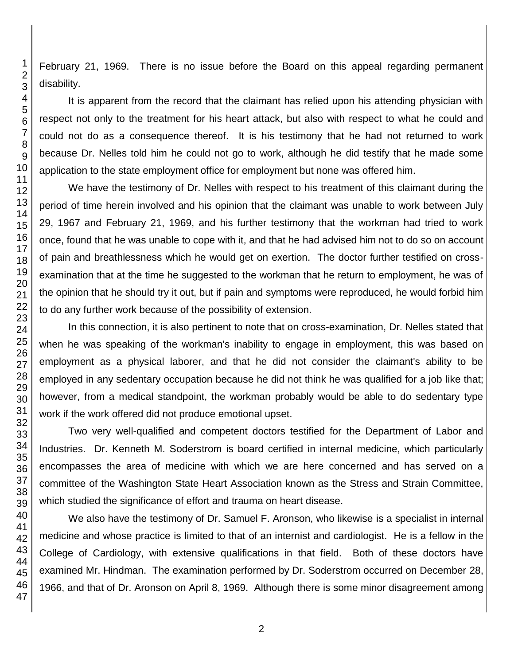February 21, 1969. There is no issue before the Board on this appeal regarding permanent disability.

It is apparent from the record that the claimant has relied upon his attending physician with respect not only to the treatment for his heart attack, but also with respect to what he could and could not do as a consequence thereof. It is his testimony that he had not returned to work because Dr. Nelles told him he could not go to work, although he did testify that he made some application to the state employment office for employment but none was offered him.

We have the testimony of Dr. Nelles with respect to his treatment of this claimant during the period of time herein involved and his opinion that the claimant was unable to work between July 29, 1967 and February 21, 1969, and his further testimony that the workman had tried to work once, found that he was unable to cope with it, and that he had advised him not to do so on account of pain and breathlessness which he would get on exertion. The doctor further testified on crossexamination that at the time he suggested to the workman that he return to employment, he was of the opinion that he should try it out, but if pain and symptoms were reproduced, he would forbid him to do any further work because of the possibility of extension.

In this connection, it is also pertinent to note that on cross-examination, Dr. Nelles stated that when he was speaking of the workman's inability to engage in employment, this was based on employment as a physical laborer, and that he did not consider the claimant's ability to be employed in any sedentary occupation because he did not think he was qualified for a job like that; however, from a medical standpoint, the workman probably would be able to do sedentary type work if the work offered did not produce emotional upset.

Two very well-qualified and competent doctors testified for the Department of Labor and Industries. Dr. Kenneth M. Soderstrom is board certified in internal medicine, which particularly encompasses the area of medicine with which we are here concerned and has served on a committee of the Washington State Heart Association known as the Stress and Strain Committee, which studied the significance of effort and trauma on heart disease.

We also have the testimony of Dr. Samuel F. Aronson, who likewise is a specialist in internal medicine and whose practice is limited to that of an internist and cardiologist. He is a fellow in the College of Cardiology, with extensive qualifications in that field. Both of these doctors have examined Mr. Hindman. The examination performed by Dr. Soderstrom occurred on December 28, 1966, and that of Dr. Aronson on April 8, 1969. Although there is some minor disagreement among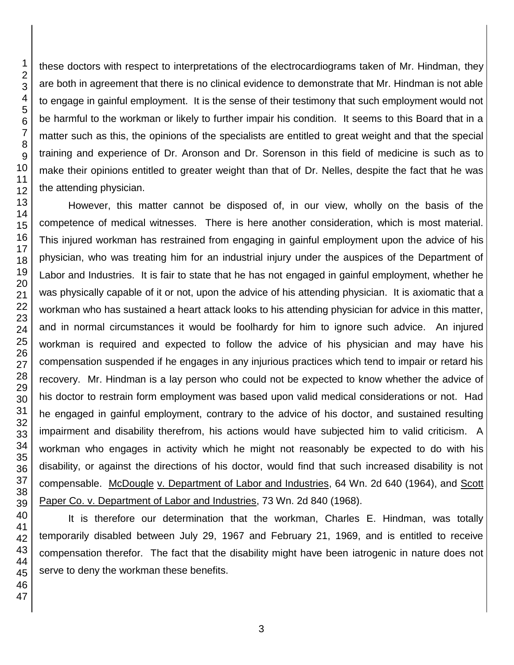these doctors with respect to interpretations of the electrocardiograms taken of Mr. Hindman, they are both in agreement that there is no clinical evidence to demonstrate that Mr. Hindman is not able to engage in gainful employment. It is the sense of their testimony that such employment would not be harmful to the workman or likely to further impair his condition. It seems to this Board that in a matter such as this, the opinions of the specialists are entitled to great weight and that the special training and experience of Dr. Aronson and Dr. Sorenson in this field of medicine is such as to make their opinions entitled to greater weight than that of Dr. Nelles, despite the fact that he was the attending physician.

However, this matter cannot be disposed of, in our view, wholly on the basis of the competence of medical witnesses. There is here another consideration, which is most material. This injured workman has restrained from engaging in gainful employment upon the advice of his physician, who was treating him for an industrial injury under the auspices of the Department of Labor and Industries. It is fair to state that he has not engaged in gainful employment, whether he was physically capable of it or not, upon the advice of his attending physician. It is axiomatic that a workman who has sustained a heart attack looks to his attending physician for advice in this matter, and in normal circumstances it would be foolhardy for him to ignore such advice. An injured workman is required and expected to follow the advice of his physician and may have his compensation suspended if he engages in any injurious practices which tend to impair or retard his recovery. Mr. Hindman is a lay person who could not be expected to know whether the advice of his doctor to restrain form employment was based upon valid medical considerations or not. Had he engaged in gainful employment, contrary to the advice of his doctor, and sustained resulting impairment and disability therefrom, his actions would have subjected him to valid criticism. A workman who engages in activity which he might not reasonably be expected to do with his disability, or against the directions of his doctor, would find that such increased disability is not compensable. McDougle v. Department of Labor and Industries, 64 Wn. 2d 640 (1964), and Scott Paper Co. v. Department of Labor and Industries, 73 Wn. 2d 840 (1968).

It is therefore our determination that the workman, Charles E. Hindman, was totally temporarily disabled between July 29, 1967 and February 21, 1969, and is entitled to receive compensation therefor. The fact that the disability might have been iatrogenic in nature does not serve to deny the workman these benefits.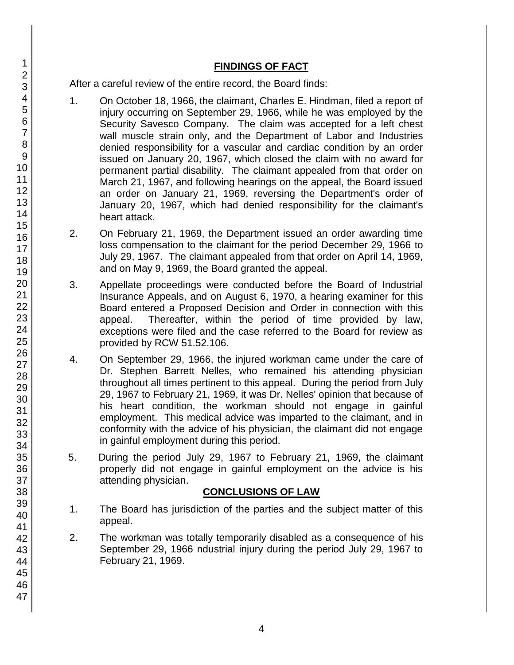## **FINDINGS OF FACT**

After a careful review of the entire record, the Board finds:

- 1. On October 18, 1966, the claimant, Charles E. Hindman, filed a report of injury occurring on September 29, 1966, while he was employed by the Security Savesco Company. The claim was accepted for a left chest wall muscle strain only, and the Department of Labor and Industries denied responsibility for a vascular and cardiac condition by an order issued on January 20, 1967, which closed the claim with no award for permanent partial disability. The claimant appealed from that order on March 21, 1967, and following hearings on the appeal, the Board issued an order on January 21, 1969, reversing the Department's order of January 20, 1967, which had denied responsibility for the claimant's heart attack.
- 2. On February 21, 1969, the Department issued an order awarding time loss compensation to the claimant for the period December 29, 1966 to July 29, 1967. The claimant appealed from that order on April 14, 1969, and on May 9, 1969, the Board granted the appeal.
- 3. Appellate proceedings were conducted before the Board of Industrial Insurance Appeals, and on August 6, 1970, a hearing examiner for this Board entered a Proposed Decision and Order in connection with this appeal. Thereafter, within the period of time provided by law, exceptions were filed and the case referred to the Board for review as provided by RCW 51.52.106.
- 4. On September 29, 1966, the injured workman came under the care of Dr. Stephen Barrett Nelles, who remained his attending physician throughout all times pertinent to this appeal. During the period from July 29, 1967 to February 21, 1969, it was Dr. Nelles' opinion that because of his heart condition, the workman should not engage in gainful employment. This medical advice was imparted to the claimant, and in conformity with the advice of his physician, the claimant did not engage in gainful employment during this period.
- 5. During the period July 29, 1967 to February 21, 1969, the claimant properly did not engage in gainful employment on the advice is his attending physician.

## **CONCLUSIONS OF LAW**

- 1. The Board has jurisdiction of the parties and the subject matter of this appeal.
- 2. The workman was totally temporarily disabled as a consequence of his September 29, 1966 ndustrial injury during the period July 29, 1967 to February 21, 1969.